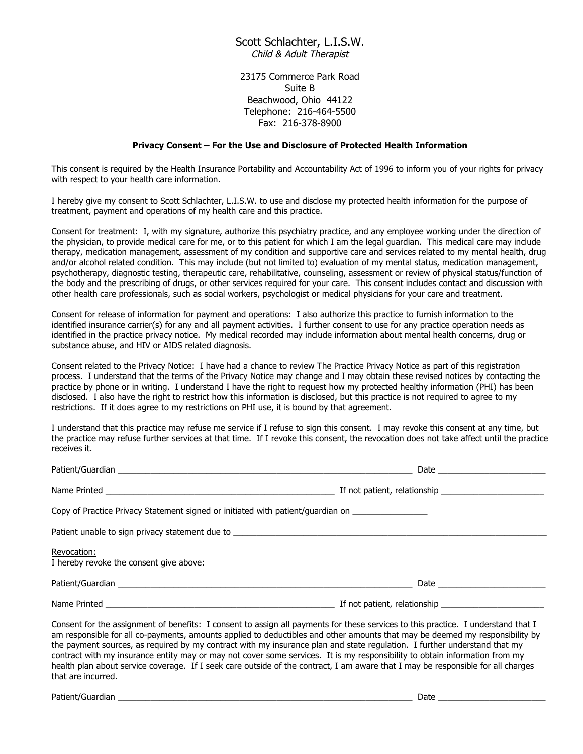## Scott Schlachter, L.I.S.W. Child & Adult Therapist

23175 Commerce Park Road Suite B Beachwood, Ohio 44122 Telephone: 216-464-5500 Fax: 216-378-8900

## **Privacy Consent – For the Use and Disclosure of Protected Health Information**

This consent is required by the Health Insurance Portability and Accountability Act of 1996 to inform you of your rights for privacy with respect to your health care information.

I hereby give my consent to Scott Schlachter, L.I.S.W. to use and disclose my protected health information for the purpose of treatment, payment and operations of my health care and this practice.

Consent for treatment: I, with my signature, authorize this psychiatry practice, and any employee working under the direction of the physician, to provide medical care for me, or to this patient for which I am the legal guardian. This medical care may include therapy, medication management, assessment of my condition and supportive care and services related to my mental health, drug and/or alcohol related condition. This may include (but not limited to) evaluation of my mental status, medication management, psychotherapy, diagnostic testing, therapeutic care, rehabilitative, counseling, assessment or review of physical status/function of the body and the prescribing of drugs, or other services required for your care. This consent includes contact and discussion with other health care professionals, such as social workers, psychologist or medical physicians for your care and treatment.

Consent for release of information for payment and operations: I also authorize this practice to furnish information to the identified insurance carrier(s) for any and all payment activities. I further consent to use for any practice operation needs as identified in the practice privacy notice. My medical recorded may include information about mental health concerns, drug or substance abuse, and HIV or AIDS related diagnosis.

Consent related to the Privacy Notice: I have had a chance to review The Practice Privacy Notice as part of this registration process. I understand that the terms of the Privacy Notice may change and I may obtain these revised notices by contacting the practice by phone or in writing. I understand I have the right to request how my protected healthy information (PHI) has been disclosed. I also have the right to restrict how this information is disclosed, but this practice is not required to agree to my restrictions. If it does agree to my restrictions on PHI use, it is bound by that agreement.

I understand that this practice may refuse me service if I refuse to sign this consent. I may revoke this consent at any time, but the practice may refuse further services at that time. If I revoke this consent, the revocation does not take affect until the practice receives it.

| Copy of Practice Privacy Statement signed or initiated with patient/guardian on ___________________ |                      |  |  |  |
|-----------------------------------------------------------------------------------------------------|----------------------|--|--|--|
| Patient unable to sign privacy statement due to _________________________________                   |                      |  |  |  |
| Revocation:<br>I hereby revoke the consent give above:                                              |                      |  |  |  |
|                                                                                                     | Date $\qquad \qquad$ |  |  |  |
|                                                                                                     |                      |  |  |  |

Consent for the assignment of benefits: I consent to assign all payments for these services to this practice. I understand that I am responsible for all co-payments, amounts applied to deductibles and other amounts that may be deemed my responsibility by the payment sources, as required by my contract with my insurance plan and state regulation. I further understand that my contract with my insurance entity may or may not cover some services. It is my responsibility to obtain information from my health plan about service coverage. If I seek care outside of the contract, I am aware that I may be responsible for all charges that are incurred.

Patient/Guardian \_\_\_\_\_\_\_\_\_\_\_\_\_\_\_\_\_\_\_\_\_\_\_\_\_\_\_\_\_\_\_\_\_\_\_\_\_\_\_\_\_\_\_\_\_\_\_\_\_\_\_\_\_\_\_\_\_\_\_\_\_\_\_ Date \_\_\_\_\_\_\_\_\_\_\_\_\_\_\_\_\_\_\_\_\_\_\_